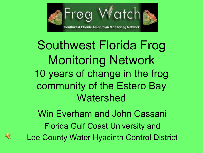

Southwest Florida Frog Monitoring Network 10 years of change in the frog community of the Estero Bay Watershed

Win Everham and John Cassani Florida Gulf Coast University and Lee County Water Hyacinth Control District

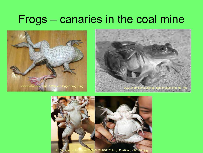### Frogs – canaries in the coal mine







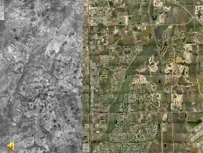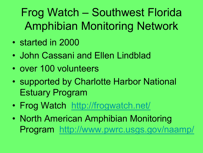### Frog Watch – Southwest Florida Amphibian Monitoring Network

- started in 2000
- John Cassani and Ellen Lindblad
- over 100 volunteers
- supported by Charlotte Harbor National Estuary Program
- Frog Watch http://frogwatch.net/
- North American Amphibian Monitoring Program <http://www.pwrc.usgs.gov/naamp/>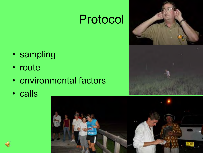## Protocol

- sampling
- route
- environmental factors
- calls





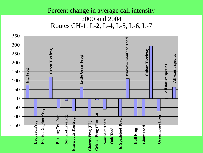#### Percent change in average call intensity

#### 2000 and 2004 Routes CH-1, L-2, L-4, L-5, L-6, L-7

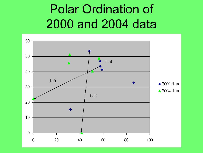# Polar Ordination of 2000 and 2004 data

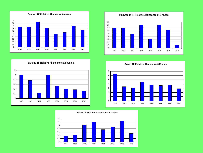







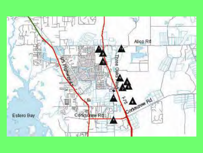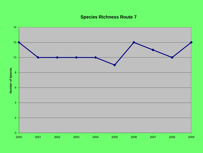#### **Species Richness Route 7**

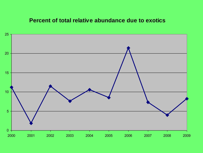#### **Percent of total relative abundance due to exotics**

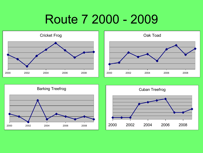## Route 7 2000 - 2009







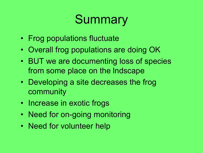# **Summary**

- Frog populations fluctuate
- Overall frog populations are doing OK
- • BUT we are documenting loss of species from some place on the lndscape
- Developing a site decreases the frog community
- Increase in exotic frogs
- Need for on-going monitoring
- Need for volunteer help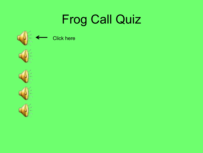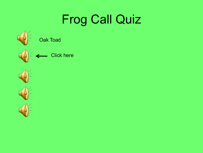

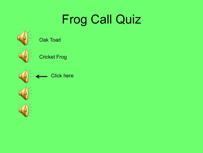

### Oak Toad



Cricket Frog

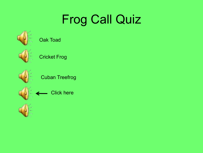

### Oak Toad



Cricket Frog



Cuban Treefrog

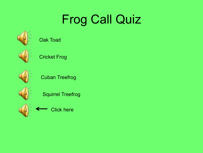

### Oak Toad



Cricket Frog



Cuban Treefrog



Squirrel Treefrog